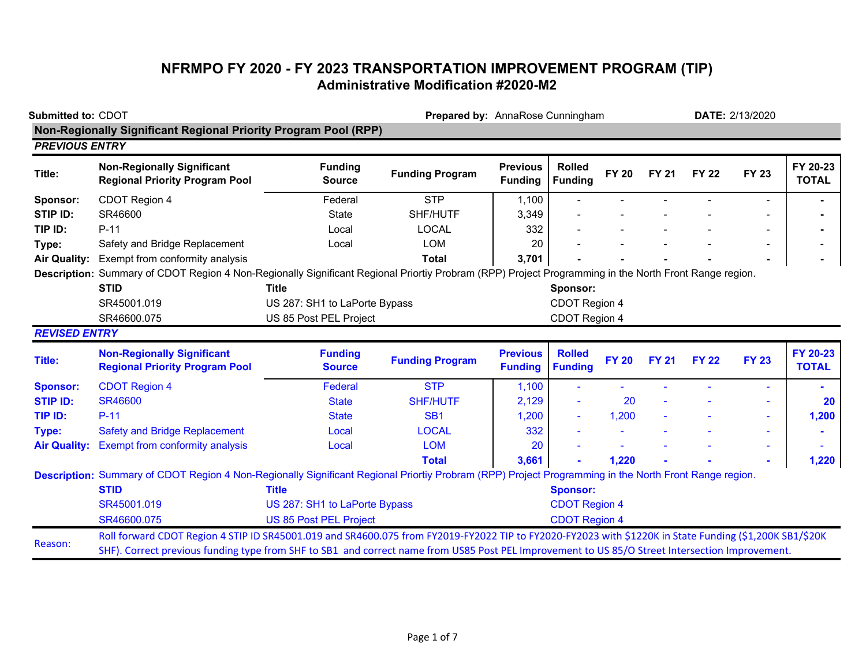## **NFRMPO FY 2020 - FY 2023 TRANSPORTATION IMPROVEMENT PROGRAM (TIP) Administrative Modification #2020-M2**

| <b>Submitted to: CDOT</b><br><b>Non-Regionally Significant Regional Priority Program Pool (RPP)</b> |                                                                                                                                                                                                                                                                                                            |                                 | Prepared by: AnnaRose Cunningham |                                   |                                 |              |              |              | <b>DATE: 2/13/2020</b> |                          |
|-----------------------------------------------------------------------------------------------------|------------------------------------------------------------------------------------------------------------------------------------------------------------------------------------------------------------------------------------------------------------------------------------------------------------|---------------------------------|----------------------------------|-----------------------------------|---------------------------------|--------------|--------------|--------------|------------------------|--------------------------|
| <b>PREVIOUS ENTRY</b>                                                                               |                                                                                                                                                                                                                                                                                                            |                                 |                                  |                                   |                                 |              |              |              |                        |                          |
| Title:                                                                                              | <b>Non-Regionally Significant</b><br><b>Regional Priority Program Pool</b>                                                                                                                                                                                                                                 | <b>Funding</b><br><b>Source</b> | <b>Funding Program</b>           | <b>Previous</b><br><b>Funding</b> | <b>Rolled</b><br><b>Funding</b> | <b>FY 20</b> | <b>FY 21</b> | <b>FY 22</b> | <b>FY 23</b>           | FY 20-23<br><b>TOTAL</b> |
| Sponsor:                                                                                            | CDOT Region 4                                                                                                                                                                                                                                                                                              | Federal                         | <b>STP</b>                       | 1,100                             |                                 |              |              |              |                        |                          |
| STIP ID:                                                                                            | SR46600                                                                                                                                                                                                                                                                                                    | <b>State</b>                    | SHF/HUTF                         | 3,349                             |                                 |              |              |              |                        |                          |
| TIP ID:                                                                                             | $P-11$                                                                                                                                                                                                                                                                                                     | Local                           | <b>LOCAL</b>                     | 332                               |                                 |              |              |              |                        |                          |
| Type:                                                                                               | Safety and Bridge Replacement                                                                                                                                                                                                                                                                              | Local                           | <b>LOM</b>                       | 20                                |                                 |              |              |              |                        |                          |
| <b>Air Quality:</b>                                                                                 | Exempt from conformity analysis                                                                                                                                                                                                                                                                            |                                 | <b>Total</b>                     | 3,701                             |                                 |              |              |              |                        |                          |
|                                                                                                     | Description: Summary of CDOT Region 4 Non-Regionally Significant Regional Priortiy Probram (RPP) Project Programming in the North Front Range region.                                                                                                                                                      |                                 |                                  |                                   |                                 |              |              |              |                        |                          |
|                                                                                                     | <b>STID</b>                                                                                                                                                                                                                                                                                                | <b>Title</b>                    |                                  |                                   | Sponsor:                        |              |              |              |                        |                          |
|                                                                                                     | SR45001.019                                                                                                                                                                                                                                                                                                | US 287: SH1 to LaPorte Bypass   |                                  |                                   | CDOT Region 4                   |              |              |              |                        |                          |
|                                                                                                     | SR46600.075                                                                                                                                                                                                                                                                                                | US 85 Post PEL Project          |                                  |                                   | CDOT Region 4                   |              |              |              |                        |                          |
| <b>REVISED ENTRY</b>                                                                                |                                                                                                                                                                                                                                                                                                            |                                 |                                  |                                   |                                 |              |              |              |                        |                          |
| Title:                                                                                              | <b>Non-Regionally Significant</b><br><b>Regional Priority Program Pool</b>                                                                                                                                                                                                                                 | <b>Funding</b><br><b>Source</b> | <b>Funding Program</b>           | <b>Previous</b><br><b>Funding</b> | <b>Rolled</b><br><b>Funding</b> | <b>FY 20</b> | <b>FY 21</b> | <b>FY 22</b> | <b>FY 23</b>           | FY 20-23<br><b>TOTAL</b> |
| <b>Sponsor:</b>                                                                                     | <b>CDOT Region 4</b>                                                                                                                                                                                                                                                                                       | Federal                         | <b>STP</b>                       | 1,100                             |                                 |              |              |              | $\blacksquare$         |                          |
| <b>STIP ID:</b>                                                                                     | <b>SR46600</b>                                                                                                                                                                                                                                                                                             | <b>State</b>                    | <b>SHF/HUTF</b>                  | 2,129                             |                                 | 20           |              |              |                        | <b>20</b>                |
| TIP ID:                                                                                             | $P-11$                                                                                                                                                                                                                                                                                                     | <b>State</b>                    | SB <sub>1</sub>                  | 1,200                             |                                 | 1,200        |              |              |                        | 1,200                    |
| Type:                                                                                               | <b>Safety and Bridge Replacement</b>                                                                                                                                                                                                                                                                       | Local                           | <b>LOCAL</b>                     | 332                               |                                 |              |              |              |                        |                          |
| <b>Air Quality:</b>                                                                                 | <b>Exempt from conformity analysis</b>                                                                                                                                                                                                                                                                     | Local                           | <b>LOM</b>                       | 20                                |                                 |              |              |              |                        |                          |
|                                                                                                     |                                                                                                                                                                                                                                                                                                            |                                 | <b>Total</b>                     | 3,661                             |                                 | 1,220        |              |              |                        | 1,220                    |
|                                                                                                     | Description: Summary of CDOT Region 4 Non-Regionally Significant Regional Priortiy Probram (RPP) Project Programming in the North Front Range region.                                                                                                                                                      |                                 |                                  |                                   |                                 |              |              |              |                        |                          |
|                                                                                                     | <b>STID</b>                                                                                                                                                                                                                                                                                                | <b>Title</b>                    |                                  |                                   | <b>Sponsor:</b>                 |              |              |              |                        |                          |
|                                                                                                     | SR45001.019                                                                                                                                                                                                                                                                                                | US 287: SH1 to LaPorte Bypass   |                                  |                                   | <b>CDOT Region 4</b>            |              |              |              |                        |                          |
|                                                                                                     | SR46600.075                                                                                                                                                                                                                                                                                                | <b>US 85 Post PEL Project</b>   |                                  |                                   | <b>CDOT Region 4</b>            |              |              |              |                        |                          |
| Reason:                                                                                             | Roll forward CDOT Region 4 STIP ID SR45001.019 and SR4600.075 from FY2019-FY2022 TIP to FY2020-FY2023 with \$1220K in State Funding (\$1,200K SB1/\$20K<br>SHF). Correct previous funding type from SHF to SB1 and correct name from US85 Post PEL Improvement to US 85/O Street Intersection Improvement. |                                 |                                  |                                   |                                 |              |              |              |                        |                          |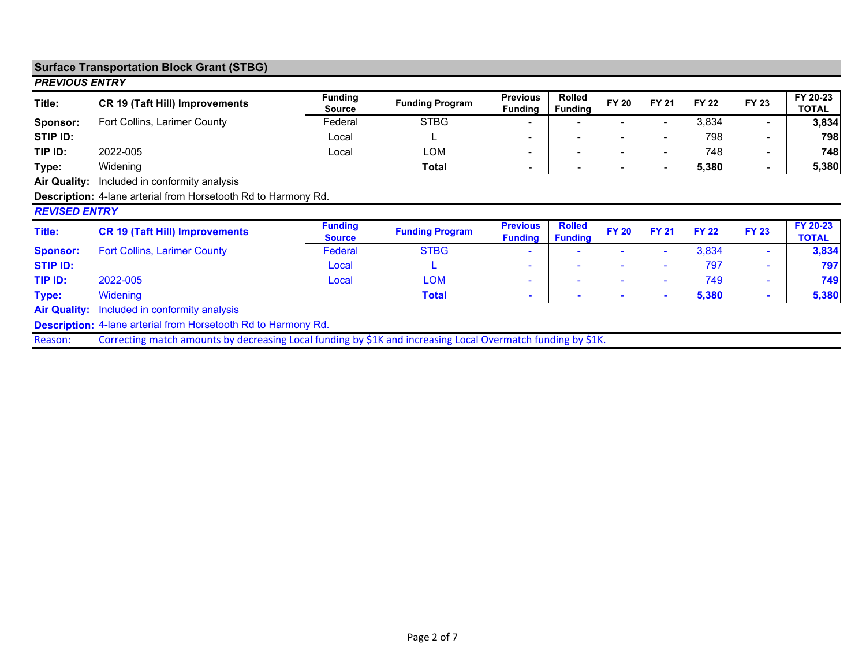|                       | <b>Surface Transportation Block Grant (STBG)</b>                                                             |                                 |                        |                                   |                                 |                |                          |              |                          |                          |
|-----------------------|--------------------------------------------------------------------------------------------------------------|---------------------------------|------------------------|-----------------------------------|---------------------------------|----------------|--------------------------|--------------|--------------------------|--------------------------|
| <b>PREVIOUS ENTRY</b> |                                                                                                              |                                 |                        |                                   |                                 |                |                          |              |                          |                          |
| Title:                | <b>CR 19 (Taft Hill) Improvements</b>                                                                        | <b>Funding</b><br><b>Source</b> | <b>Funding Program</b> | <b>Previous</b><br><b>Funding</b> | <b>Rolled</b><br><b>Funding</b> | <b>FY 20</b>   | <b>FY 21</b>             | <b>FY 22</b> | <b>FY 23</b>             | FY 20-23<br><b>TOTAL</b> |
| Sponsor:              | Fort Collins, Larimer County                                                                                 | Federal                         | <b>STBG</b>            |                                   |                                 |                | $\overline{\phantom{a}}$ | 3,834        | ٠                        | 3,834                    |
| STIP ID:              |                                                                                                              | Local                           |                        | ۰                                 | $\overline{\phantom{a}}$        |                | $\overline{\phantom{a}}$ | 798          | ۰                        | 798                      |
| TIP ID:               | 2022-005                                                                                                     | Local                           | <b>LOM</b>             | -                                 | $\blacksquare$                  | $\blacksquare$ | $\blacksquare$           | 748          |                          | 748                      |
| Type:                 | Widening                                                                                                     |                                 | Total                  | ٠                                 | $\blacksquare$                  | $\sim$         | $\sim$                   | 5,380        |                          | 5,380                    |
| <b>Air Quality:</b>   | Included in conformity analysis                                                                              |                                 |                        |                                   |                                 |                |                          |              |                          |                          |
|                       | <b>Description:</b> 4-lane arterial from Horsetooth Rd to Harmony Rd.                                        |                                 |                        |                                   |                                 |                |                          |              |                          |                          |
| <b>REVISED ENTRY</b>  |                                                                                                              |                                 |                        |                                   |                                 |                |                          |              |                          |                          |
| Title:                | <b>CR 19 (Taft Hill) Improvements</b>                                                                        | <b>Funding</b><br><b>Source</b> | <b>Funding Program</b> | <b>Previous</b><br><b>Funding</b> | <b>Rolled</b><br><b>Funding</b> | <b>FY 20</b>   | <b>FY 21</b>             | <b>FY 22</b> | <b>FY 23</b>             | FY 20-23<br><b>TOTAL</b> |
| <b>Sponsor:</b>       | <b>Fort Collins, Larimer County</b>                                                                          | Federal                         | <b>STBG</b>            |                                   |                                 |                | ۰                        | 3,834        | $\overline{\phantom{a}}$ | 3,834                    |
| <b>STIP ID:</b>       |                                                                                                              | Local                           |                        | ٠                                 |                                 | ۰              | $\sim$                   | 797          | $\sim$                   | 797                      |
| TIP ID:               | 2022-005                                                                                                     | Local                           | <b>LOM</b>             | ٠                                 | ۰                               | ٠              | $\sim$                   | 749          | ۰.                       | 749                      |
| <b>Type:</b>          | Widening                                                                                                     |                                 | Total                  | ٠                                 | $\sim$                          | $\sim$         | $\sim$                   | 5,380        | ۰                        | 5,380                    |
| <b>Air Quality:</b>   | Included in conformity analysis                                                                              |                                 |                        |                                   |                                 |                |                          |              |                          |                          |
|                       | <b>Description:</b> 4-lane arterial from Horsetooth Rd to Harmony Rd.                                        |                                 |                        |                                   |                                 |                |                          |              |                          |                          |
| Reason:               | Correcting match amounts by decreasing Local funding by \$1K and increasing Local Overmatch funding by \$1K. |                                 |                        |                                   |                                 |                |                          |              |                          |                          |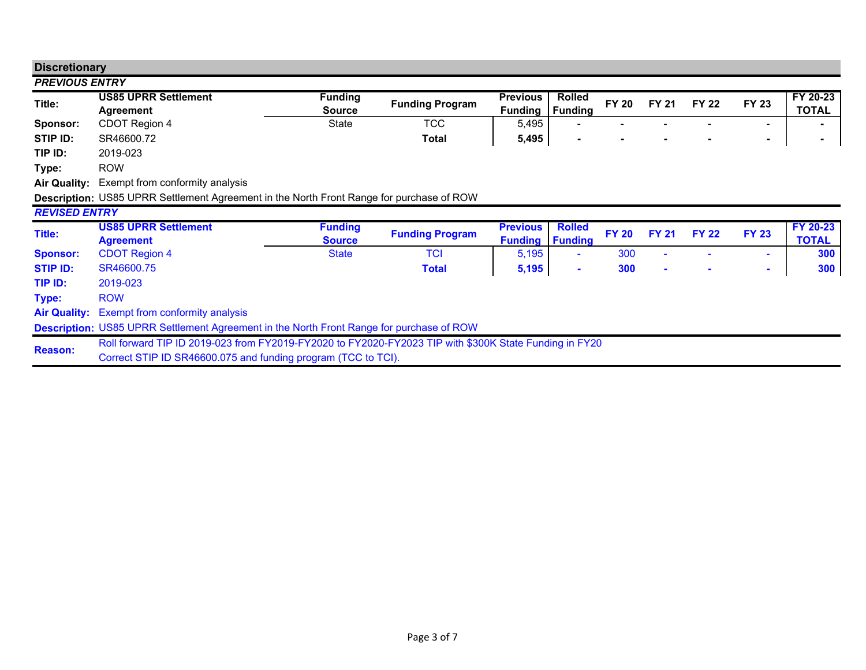| <b>Discretionary</b>  |                                                                                                                                                                         |                                 |                        |                                   |                                 |              |                |              |              |                          |
|-----------------------|-------------------------------------------------------------------------------------------------------------------------------------------------------------------------|---------------------------------|------------------------|-----------------------------------|---------------------------------|--------------|----------------|--------------|--------------|--------------------------|
| <b>PREVIOUS ENTRY</b> |                                                                                                                                                                         |                                 |                        |                                   |                                 |              |                |              |              |                          |
| Title:                | <b>US85 UPRR Settlement</b><br>Agreement                                                                                                                                | <b>Funding</b><br><b>Source</b> | <b>Funding Program</b> | <b>Previous</b><br><b>Funding</b> | <b>Rolled</b><br><b>Funding</b> | <b>FY 20</b> | <b>FY 21</b>   | <b>FY 22</b> | <b>FY 23</b> | FY 20-23<br><b>TOTAL</b> |
| Sponsor:              | CDOT Region 4                                                                                                                                                           | <b>State</b>                    | <b>TCC</b>             | 5,495                             |                                 |              |                |              | -            |                          |
| STIP ID:              | SR46600.72                                                                                                                                                              |                                 | Total                  | 5,495                             |                                 |              |                |              | ۰            |                          |
| TIP ID:               | 2019-023                                                                                                                                                                |                                 |                        |                                   |                                 |              |                |              |              |                          |
| Type:                 | <b>ROW</b>                                                                                                                                                              |                                 |                        |                                   |                                 |              |                |              |              |                          |
| <b>Air Quality:</b>   | Exempt from conformity analysis                                                                                                                                         |                                 |                        |                                   |                                 |              |                |              |              |                          |
|                       | Description: US85 UPRR Settlement Agreement in the North Front Range for purchase of ROW                                                                                |                                 |                        |                                   |                                 |              |                |              |              |                          |
| <b>REVISED ENTRY</b>  |                                                                                                                                                                         |                                 |                        |                                   |                                 |              |                |              |              |                          |
| Title:                | <b>US85 UPRR Settlement</b><br><b>Agreement</b>                                                                                                                         | <b>Funding</b><br><b>Source</b> | <b>Funding Program</b> | <b>Previous</b><br><b>Funding</b> | <b>Rolled</b><br><b>Funding</b> | <b>FY 20</b> | <b>FY 21</b>   | <b>FY 22</b> | <b>FY 23</b> | FY 20-23<br><b>TOTAL</b> |
| <b>Sponsor:</b>       | <b>CDOT Region 4</b>                                                                                                                                                    | <b>State</b>                    | <b>TCI</b>             | 5,195                             | ۰                               | 300          |                |              |              | 300                      |
| <b>STIP ID:</b>       | SR46600.75                                                                                                                                                              |                                 | <b>Total</b>           | 5,195                             | ۰                               | 300          | $\blacksquare$ |              | $\sim$       | 300                      |
| TIP ID:               | 2019-023                                                                                                                                                                |                                 |                        |                                   |                                 |              |                |              |              |                          |
| Type:                 | <b>ROW</b>                                                                                                                                                              |                                 |                        |                                   |                                 |              |                |              |              |                          |
| <b>Air Quality:</b>   | <b>Exempt from conformity analysis</b>                                                                                                                                  |                                 |                        |                                   |                                 |              |                |              |              |                          |
|                       | Description: US85 UPRR Settlement Agreement in the North Front Range for purchase of ROW                                                                                |                                 |                        |                                   |                                 |              |                |              |              |                          |
| <b>Reason:</b>        | Roll forward TIP ID 2019-023 from FY2019-FY2020 to FY2020-FY2023 TIP with \$300K State Funding in FY20<br>Correct STIP ID SR46600.075 and funding program (TCC to TCI). |                                 |                        |                                   |                                 |              |                |              |              |                          |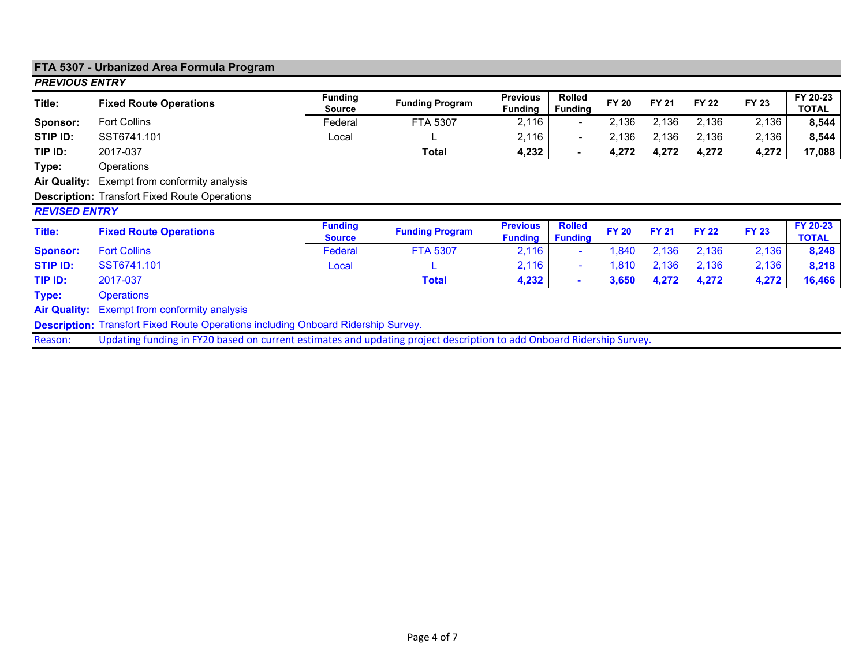|                       | FTA 5307 - Urbanized Area Formula Program                                                                             |                                 |                        |                                   |                                 |              |              |              |              |                          |
|-----------------------|-----------------------------------------------------------------------------------------------------------------------|---------------------------------|------------------------|-----------------------------------|---------------------------------|--------------|--------------|--------------|--------------|--------------------------|
| <b>PREVIOUS ENTRY</b> |                                                                                                                       |                                 |                        |                                   |                                 |              |              |              |              |                          |
| Title:                | <b>Fixed Route Operations</b>                                                                                         | <b>Funding</b><br><b>Source</b> | <b>Funding Program</b> | <b>Previous</b><br><b>Funding</b> | Rolled<br><b>Funding</b>        | <b>FY 20</b> | <b>FY 21</b> | <b>FY 22</b> | <b>FY 23</b> | FY 20-23<br><b>TOTAL</b> |
| Sponsor:              | <b>Fort Collins</b>                                                                                                   | Federal                         | FTA 5307               | 2,116                             |                                 | 2,136        | 2,136        | 2,136        | 2,136        | 8,544                    |
| STIP ID:              | SST6741.101                                                                                                           | Local                           |                        | 2,116                             | $\blacksquare$                  | 2,136        | 2,136        | 2,136        | 2,136        | 8,544                    |
| TIP ID:               | 2017-037                                                                                                              |                                 | <b>Total</b>           | 4,232                             | $\blacksquare$                  | 4,272        | 4,272        | 4,272        | 4,272        | 17,088                   |
| Type:                 | Operations                                                                                                            |                                 |                        |                                   |                                 |              |              |              |              |                          |
| <b>Air Quality:</b>   | Exempt from conformity analysis                                                                                       |                                 |                        |                                   |                                 |              |              |              |              |                          |
|                       | <b>Description: Transfort Fixed Route Operations</b>                                                                  |                                 |                        |                                   |                                 |              |              |              |              |                          |
| <b>REVISED ENTRY</b>  |                                                                                                                       |                                 |                        |                                   |                                 |              |              |              |              |                          |
| <b>Title:</b>         | <b>Fixed Route Operations</b>                                                                                         | <b>Funding</b><br><b>Source</b> | <b>Funding Program</b> | <b>Previous</b><br><b>Funding</b> | <b>Rolled</b><br><b>Funding</b> | <b>FY 20</b> | <b>FY 21</b> | <b>FY 22</b> | <b>FY 23</b> | FY 20-23<br><b>TOTAL</b> |
| <b>Sponsor:</b>       | <b>Fort Collins</b>                                                                                                   | Federal                         | <b>FTA 5307</b>        | 2,116                             |                                 | 1,840        | 2,136        | 2,136        | 2,136        | 8,248                    |
| <b>STIP ID:</b>       | SST6741.101                                                                                                           | Local                           |                        | 2,116                             |                                 | 1,810        | 2,136        | 2,136        | 2,136        | 8,218                    |
| TIP ID:               | 2017-037                                                                                                              |                                 | <b>Total</b>           | 4,232                             | $\blacksquare$                  | 3,650        | 4,272        | 4,272        | 4,272        | 16,466                   |
| Type:                 | <b>Operations</b>                                                                                                     |                                 |                        |                                   |                                 |              |              |              |              |                          |
| <b>Air Quality:</b>   | Exempt from conformity analysis                                                                                       |                                 |                        |                                   |                                 |              |              |              |              |                          |
|                       | <b>Description:</b> Transfort Fixed Route Operations including Onboard Ridership Survey.                              |                                 |                        |                                   |                                 |              |              |              |              |                          |
| Reason:               | Updating funding in FY20 based on current estimates and updating project description to add Onboard Ridership Survey. |                                 |                        |                                   |                                 |              |              |              |              |                          |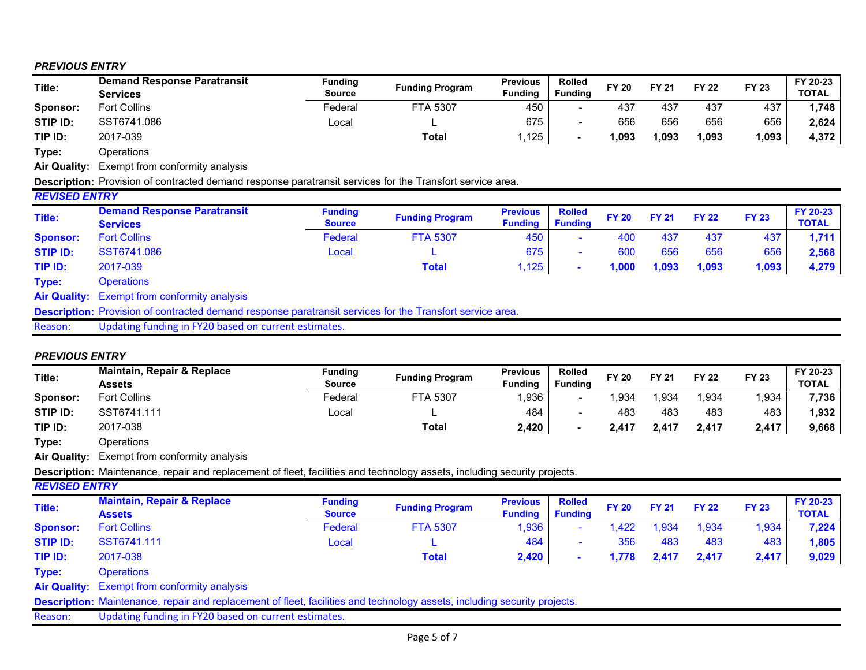## *PREVIOUS ENTRY*

| Title:              | <b>Demand Response Paratransit</b> | <b>Funding</b> | <b>Funding Program</b> | <b>Previous</b> | <b>Rolled</b>  | FY 20 | <b>FY 21</b> | <b>FY 22</b> | <b>FY 23</b> | FY 20-23     |
|---------------------|------------------------------------|----------------|------------------------|-----------------|----------------|-------|--------------|--------------|--------------|--------------|
|                     | Services                           | <b>Source</b>  |                        | <b>Funding</b>  | <b>Funding</b> |       |              |              |              | <b>TOTAL</b> |
| Sponsor:            | <b>Fort Collins</b>                | Federal        | <b>FTA 5307</b>        | 450             |                | 437   | 437          | 437          | 437          | 1.748        |
| STIP ID:            | SST6741.086                        | Local          |                        | 675             |                | 656   | 656          | 656          | 656          | 2,624        |
| TIP ID:             | 2017-039                           |                | <b>Total</b>           | ,125            |                | 1.093 | 1,093        | 093. ا       | 1,093        | 4,372        |
| Type:               | Operations                         |                |                        |                 |                |       |              |              |              |              |
| <b>Air Quality:</b> | Exempt from conformity analysis    |                |                        |                 |                |       |              |              |              |              |

**Description:** Provision of contracted demand response paratransit services for the Transfort service area.

| <b>REVISED ENTRY</b> |                                                                                                                  |                                 |                        |                                   |                                 |              |              |              |              |                          |
|----------------------|------------------------------------------------------------------------------------------------------------------|---------------------------------|------------------------|-----------------------------------|---------------------------------|--------------|--------------|--------------|--------------|--------------------------|
| Title:               | <b>Demand Response Paratransit</b><br><b>Services</b>                                                            | <b>Funding</b><br><b>Source</b> | <b>Funding Program</b> | <b>Previous</b><br><b>Funding</b> | <b>Rolled</b><br><b>Funding</b> | <b>FY 20</b> | <b>FY 21</b> | <b>FY 22</b> | <b>FY 23</b> | FY 20-23<br><b>TOTAL</b> |
| <b>Sponsor:</b>      | <b>Fort Collins</b>                                                                                              | Federal                         | <b>FTA 5307</b>        | 450                               |                                 | 400          | 437          | 437          | 437          | 1,711                    |
| <b>STIP ID:</b>      | SST6741.086                                                                                                      | Local                           |                        | 675                               |                                 | 600          | 656          | 656          | 656          | 2,568                    |
| TIP ID:              | 2017-039                                                                                                         |                                 | <b>Total</b>           | 1,125                             |                                 | 1,000        | 1,093        | 1,093        | 1,093        | 4,279                    |
| Type:                | <b>Operations</b>                                                                                                |                                 |                        |                                   |                                 |              |              |              |              |                          |
|                      | <b>Air Quality:</b> Exempt from conformity analysis                                                              |                                 |                        |                                   |                                 |              |              |              |              |                          |
|                      | <b>Description:</b> Provision of contracted demand response paratransit services for the Transfort service area. |                                 |                        |                                   |                                 |              |              |              |              |                          |
| Reason:              | Updating funding in FY20 based on current estimates.                                                             |                                 |                        |                                   |                                 |              |              |              |              |                          |

## *PREVIOUS ENTRY*

| Title:               | Maintain, Repair & Replace<br>Assets                                                                                             | <b>Funding</b><br><b>Source</b> | <b>Funding Program</b> | <b>Previous</b><br><b>Funding</b> | <b>Rolled</b><br><b>Funding</b> | <b>FY 20</b> | <b>FY 21</b> | <b>FY 22</b> | <b>FY 23</b> | FY 20-23<br>TOTAL        |
|----------------------|----------------------------------------------------------------------------------------------------------------------------------|---------------------------------|------------------------|-----------------------------------|---------------------------------|--------------|--------------|--------------|--------------|--------------------------|
| Sponsor:             | <b>Fort Collins</b>                                                                                                              | Federal                         | <b>FTA 5307</b>        | 1,936                             | $\sim$                          | 934,         | 934,         | 1,934        | 1,934        | 7,736                    |
| STIP ID:             | SST6741.111                                                                                                                      | Local                           |                        | 484                               |                                 | 483          | 483          | 483          | 483          | 1,932                    |
| TIP ID:              | 2017-038                                                                                                                         |                                 | Total                  | 2,420                             | ۰                               | 2,417        | 2,417        | 2,417        | 2,417        | 9,668                    |
| Type:                | Operations                                                                                                                       |                                 |                        |                                   |                                 |              |              |              |              |                          |
| <b>Air Quality:</b>  | Exempt from conformity analysis                                                                                                  |                                 |                        |                                   |                                 |              |              |              |              |                          |
|                      | <b>Description:</b> Maintenance, repair and replacement of fleet, facilities and technology assets, including security projects. |                                 |                        |                                   |                                 |              |              |              |              |                          |
| <b>REVISED ENTRY</b> |                                                                                                                                  |                                 |                        |                                   |                                 |              |              |              |              |                          |
| Title:               | <b>Maintain, Repair &amp; Replace</b><br><b>Assets</b>                                                                           | <b>Funding</b><br><b>Source</b> | <b>Funding Program</b> | <b>Previous</b><br><b>Funding</b> | <b>Rolled</b><br><b>Funding</b> | <b>FY 20</b> | <b>FY 21</b> | <b>FY 22</b> | <b>FY 23</b> | FY 20-23<br><b>TOTAL</b> |
| <b>Sponsor:</b>      | <b>Fort Collins</b>                                                                                                              | Federal                         | <b>FTA 5307</b>        | 1,936                             |                                 | 1,422        | 1,934        | 1,934        | 1,934        | 7,224                    |
| <b>STIP ID:</b>      | SST6741.111                                                                                                                      | Local                           |                        | 484                               |                                 | 356          | 483          | 483          | 483          | 1,805                    |
| TIP ID:              | 2017-038                                                                                                                         |                                 | <b>Total</b>           | 2,420                             | $\blacksquare$                  | 1,778        | 2,417        | 2,417        | 2,417        | 9,029                    |
| Type:                | <b>Operations</b>                                                                                                                |                                 |                        |                                   |                                 |              |              |              |              |                          |
| <b>Air Quality:</b>  | <b>Exempt from conformity analysis</b>                                                                                           |                                 |                        |                                   |                                 |              |              |              |              |                          |
|                      | <b>Description:</b> Maintenance, repair and replacement of fleet, facilities and technology assets, including security projects. |                                 |                        |                                   |                                 |              |              |              |              |                          |
| Reason:              | Updating funding in FY20 based on current estimates.                                                                             |                                 |                        |                                   |                                 |              |              |              |              |                          |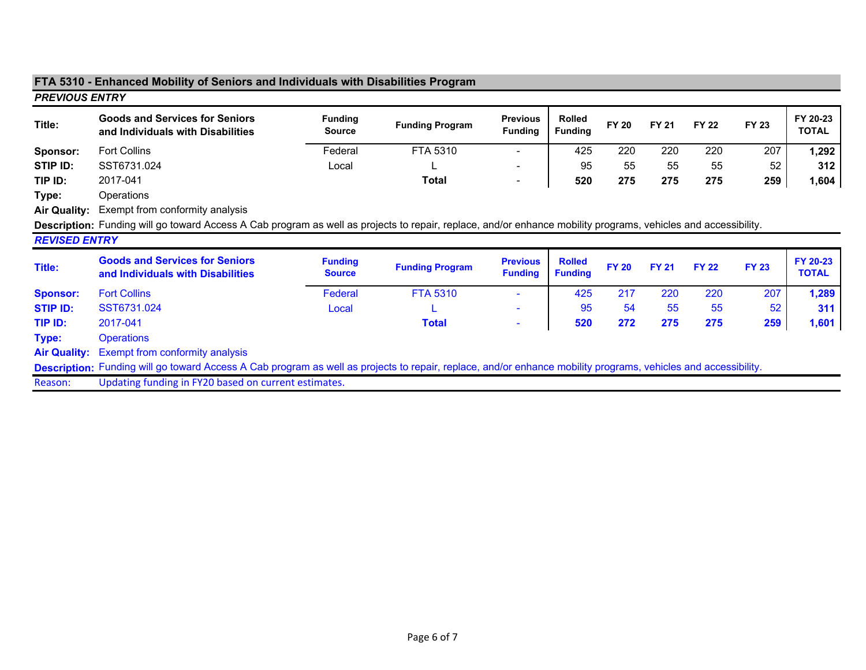|                       | FTA 5310 - Enhanced Mobility of Seniors and Individuals with Disabilities Program                                                                              |                                 |                        |                                   |                                 |              |              |              |              |                          |
|-----------------------|----------------------------------------------------------------------------------------------------------------------------------------------------------------|---------------------------------|------------------------|-----------------------------------|---------------------------------|--------------|--------------|--------------|--------------|--------------------------|
| <b>PREVIOUS ENTRY</b> |                                                                                                                                                                |                                 |                        |                                   |                                 |              |              |              |              |                          |
| Title:                | <b>Goods and Services for Seniors</b><br>and Individuals with Disabilities                                                                                     | <b>Funding</b><br><b>Source</b> | <b>Funding Program</b> | <b>Previous</b><br><b>Funding</b> | <b>Rolled</b><br><b>Funding</b> | <b>FY 20</b> | <b>FY 21</b> | <b>FY 22</b> | <b>FY 23</b> | FY 20-23<br><b>TOTAL</b> |
| Sponsor:              | <b>Fort Collins</b>                                                                                                                                            | Federal                         | FTA 5310               |                                   | 425                             | 220          | 220          | 220          | 207          | 1,292                    |
| STIP ID:              | SST6731.024                                                                                                                                                    | Local                           |                        | ٠                                 | 95                              | 55           | 55           | 55           | 52           | 312                      |
| TIP ID:               | 2017-041                                                                                                                                                       |                                 | <b>Total</b>           | $\overline{\phantom{0}}$          | 520                             | 275          | 275          | 275          | 259          | 1,604                    |
| Type:                 | Operations                                                                                                                                                     |                                 |                        |                                   |                                 |              |              |              |              |                          |
| <b>Air Quality:</b>   | Exempt from conformity analysis                                                                                                                                |                                 |                        |                                   |                                 |              |              |              |              |                          |
|                       | Description: Funding will go toward Access A Cab program as well as projects to repair, replace, and/or enhance mobility programs, vehicles and accessibility. |                                 |                        |                                   |                                 |              |              |              |              |                          |
| <b>REVISED ENTRY</b>  |                                                                                                                                                                |                                 |                        |                                   |                                 |              |              |              |              |                          |
| Title:                | <b>Goods and Services for Seniors</b><br>and Individuals with Disabilities                                                                                     | <b>Funding</b><br><b>Source</b> | <b>Funding Program</b> | <b>Previous</b><br><b>Funding</b> | <b>Rolled</b><br><b>Funding</b> | <b>FY 20</b> | <b>FY 21</b> | <b>FY 22</b> | <b>FY 23</b> | FY 20-23<br><b>TOTAL</b> |
| <b>Sponsor:</b>       | <b>Fort Collins</b>                                                                                                                                            | Federal                         | <b>FTA 5310</b>        |                                   | 425                             | 217          | 220          | 220          | 207          | 1,289                    |
| <b>STIP ID:</b>       | SST6731.024                                                                                                                                                    | Local                           |                        |                                   | 95                              | 54           | 55           | 55           | 52           | 311                      |
| TIP ID:               | 2017-041                                                                                                                                                       |                                 | <b>Total</b>           | ٠                                 | 520                             | 272          | 275          | 275          | 259          | 1,601                    |
| Type:                 | <b>Operations</b>                                                                                                                                              |                                 |                        |                                   |                                 |              |              |              |              |                          |
| <b>Air Quality:</b>   | Exempt from conformity analysis                                                                                                                                |                                 |                        |                                   |                                 |              |              |              |              |                          |
|                       | Description: Funding will go toward Access A Cab program as well as projects to repair, replace, and/or enhance mobility programs, vehicles and accessibility. |                                 |                        |                                   |                                 |              |              |              |              |                          |
| Reason:               | Updating funding in FY20 based on current estimates.                                                                                                           |                                 |                        |                                   |                                 |              |              |              |              |                          |